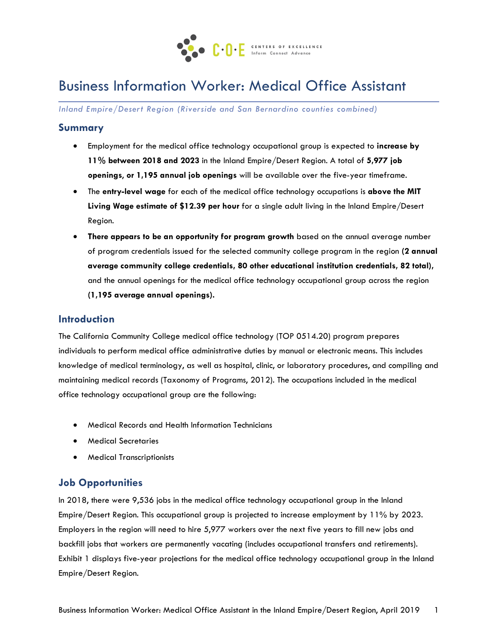

# Business Information Worker: Medical Office Assistant

*Inland Empire/Desert Region (Riverside and San Bernardino counties combined)* 

### **Summary**

- Employment for the medical office technology occupational group is expected to **increase by 11% between 2018 and 2023** in the Inland Empire/Desert Region. A total of **5,977 job openings**, **or 1,195 annual job openings** will be available over the five-year timeframe.
- The **entry-level wage** for each of the medical office technology occupations is **above the MIT Living Wage estimate of \$12.39 per hour** for a single adult living in the Inland Empire/Desert Region.
- **There appears to be an opportunity for program growth** based on the annual average number of program credentials issued for the selected community college program in the region **(2 annual average community college credentials, 80 other educational institution credentials, 82 total),** and the annual openings for the medical office technology occupational group across the region **(1,195 average annual openings).**

### **Introduction**

The California Community College medical office technology (TOP 0514.20) program prepares individuals to perform medical office administrative duties by manual or electronic means. This includes knowledge of medical terminology, as well as hospital, clinic, or laboratory procedures, and compiling and maintaining medical records (Taxonomy of Programs, 2012). The occupations included in the medical office technology occupational group are the following:

- Medical Records and Health Information Technicians
- Medical Secretaries
- Medical Transcriptionists

# **Job Opportunities**

In 2018, there were 9,536 jobs in the medical office technology occupational group in the Inland Empire/Desert Region. This occupational group is projected to increase employment by 11% by 2023. Employers in the region will need to hire 5,977 workers over the next five years to fill new jobs and backfill jobs that workers are permanently vacating (includes occupational transfers and retirements). Exhibit 1 displays five-year projections for the medical office technology occupational group in the Inland Empire/Desert Region.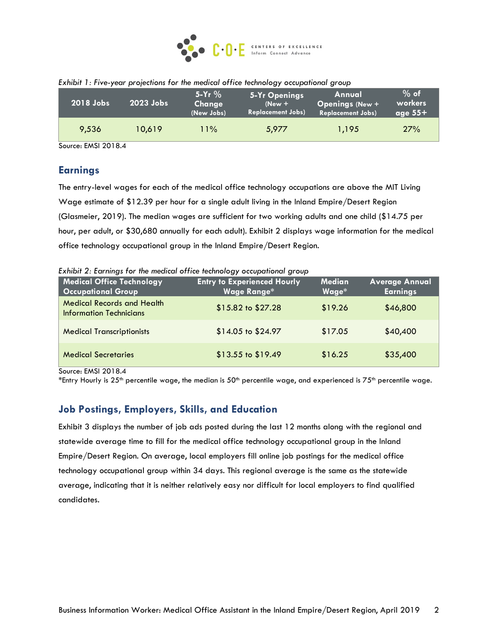

| 2018 Jobs | $2023$ Jobs | 5-Yr $%$<br>Change<br>(New Jobs) | 5-Yr Openings<br>$New +$<br><b>Replacement Jobs)</b> | Annual<br><b>Openings (New +</b><br><b>Replacement Jobs)</b> | $%$ of $%$<br>workers<br>age $55+$ |
|-----------|-------------|----------------------------------|------------------------------------------------------|--------------------------------------------------------------|------------------------------------|
| 9,536     | 10.619      | $1\%$                            | 5,977                                                | 1.195                                                        | 27%                                |

#### *Exhibit 1: Five-year projections for the medical office technology occupational group*

Source: EMSI 2018.4

### **Earnings**

The entry-level wages for each of the medical office technology occupations are above the MIT Living Wage estimate of \$12.39 per hour for a single adult living in the Inland Empire/Desert Region (Glasmeier, 2019). The median wages are sufficient for two working adults and one child (\$14.75 per hour, per adult, or \$30,680 annually for each adult). Exhibit 2 displays wage information for the medical office technology occupational group in the Inland Empire/Desert Region.

#### *Exhibit 2: Earnings for the medical office technology occupational group*

| Medical Office Technology<br><b>Occupational Group</b>              | <b>Entry to Experienced Hourly</b><br><b>Wage Range*</b> | <b>Median</b><br>Wage* | <b>Average Annual</b><br><b>Earnings</b> |
|---------------------------------------------------------------------|----------------------------------------------------------|------------------------|------------------------------------------|
| <b>Medical Records and Health</b><br><b>Information Technicians</b> | \$15.82 to \$27.28                                       | \$19.26                | \$46,800                                 |
| <b>Medical Transcriptionists</b>                                    | \$14.05 to \$24.97                                       | \$17.05                | \$40,400                                 |
| <b>Medical Secretaries</b>                                          | \$13.55 to \$19.49                                       | \$16.25                | \$35,400                                 |

Source: EMSI 2018.4

\*Entry Hourly is 25<sup>th</sup> percentile wage, the median is 50<sup>th</sup> percentile wage, and experienced is 75<sup>th</sup> percentile wage.

# **Job Postings, Employers, Skills, and Education**

Exhibit 3 displays the number of job ads posted during the last 12 months along with the regional and statewide average time to fill for the medical office technology occupational group in the Inland Empire/Desert Region. On average, local employers fill online job postings for the medical office technology occupational group within 34 days. This regional average is the same as the statewide average, indicating that it is neither relatively easy nor difficult for local employers to find qualified candidates.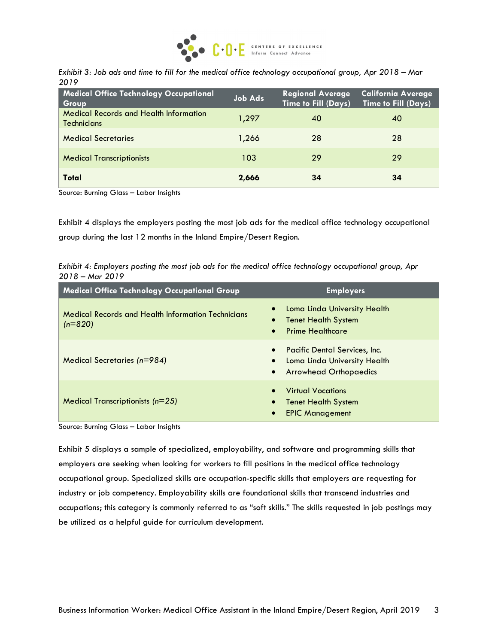

|      |  | Exhibit 3: Job ads and time to fill for the medical office technology occupational group, Apr 2018 – Mar |  |
|------|--|----------------------------------------------------------------------------------------------------------|--|
| 2019 |  |                                                                                                          |  |

| <b>Medical Office Technology Occupational</b><br>Group              | <b>Job Ads</b> | Regional Average<br>Time to Fill (Days) | <b>California Average</b><br><b>Time to Fill (Days)</b> |
|---------------------------------------------------------------------|----------------|-----------------------------------------|---------------------------------------------------------|
| <b>Medical Records and Health Information</b><br><b>Technicians</b> | 1.297          | 40                                      | 40                                                      |
| <b>Medical Secretaries</b>                                          | 1,266          | 28                                      | 28                                                      |
| <b>Medical Transcriptionists</b>                                    | 103            | 29                                      | 29                                                      |
| Total                                                               | 2,666          | 34                                      | 34                                                      |

Source: Burning Glass – Labor Insights

Exhibit 4 displays the employers posting the most job ads for the medical office technology occupational group during the last 12 months in the Inland Empire/Desert Region.

*Exhibit 4: Employers posting the most job ads for the medical office technology occupational group, Apr 2018 – Mar 2019*

| <b>Medical Office Technology Occupational Group</b>                    | <b>Employers</b>                                                                                                                      |
|------------------------------------------------------------------------|---------------------------------------------------------------------------------------------------------------------------------------|
| <b>Medical Records and Health Information Technicians</b><br>$(n=820)$ | Loma Linda University Health<br>$\bullet$<br><b>Tenet Health System</b><br><b>Prime Healthcare</b><br>$\bullet$                       |
| Medical Secretaries (n=984)                                            | Pacific Dental Services, Inc.<br>$\bullet$<br>Loma Linda University Health<br>$\bullet$<br><b>Arrowhead Orthopaedics</b><br>$\bullet$ |
| Medical Transcriptionists $(n=25)$                                     | <b>Virtual Vocations</b><br><b>Tenet Health System</b><br>$\bullet$<br><b>EPIC Management</b><br>$\bullet$                            |

Source: Burning Glass – Labor Insights

Exhibit 5 displays a sample of specialized, employability, and software and programming skills that employers are seeking when looking for workers to fill positions in the medical office technology occupational group. Specialized skills are occupation-specific skills that employers are requesting for industry or job competency. Employability skills are foundational skills that transcend industries and occupations; this category is commonly referred to as "soft skills." The skills requested in job postings may be utilized as a helpful guide for curriculum development.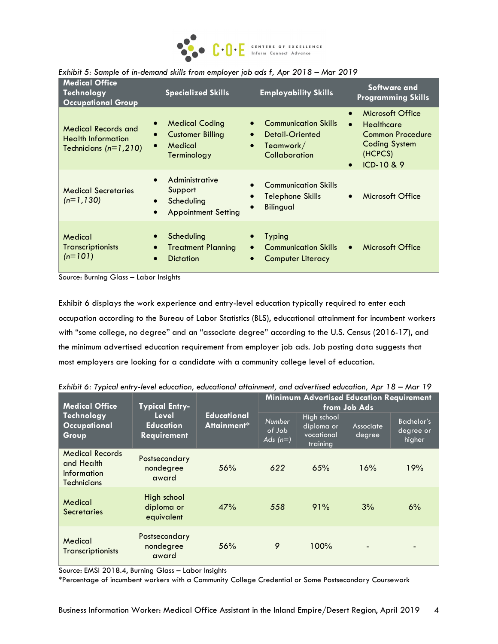

| <b>Medical Office</b><br>Technology<br><b>Occupational Group</b>                   | <b>Specialized Skills</b>                                                                                    | <b>Employability Skills</b>                                                                            | Software and<br><b>Programming Skills</b>                                                                                                         |
|------------------------------------------------------------------------------------|--------------------------------------------------------------------------------------------------------------|--------------------------------------------------------------------------------------------------------|---------------------------------------------------------------------------------------------------------------------------------------------------|
| <b>Medical Records and</b><br><b>Health Information</b><br>Technicians $(n=1,210)$ | <b>Medical Coding</b><br><b>Customer Billing</b><br>$\bullet$<br>Medical<br>Terminology                      | <b>Communication Skills</b><br>Detail-Oriented<br>$\bullet$<br>Teamwork/<br>$\bullet$<br>Collaboration | Microsoft Office<br>$\bullet$<br><b>Healthcare</b><br>$\bullet$<br>Common Procedure<br><b>Coding System</b><br>(HCPCS)<br>ICD-10 & 9<br>$\bullet$ |
| <b>Medical Secretaries</b><br>$(n=1,130)$                                          | Administrative<br>$\bullet$<br>Support<br>Scheduling<br>$\bullet$<br><b>Appointment Setting</b><br>$\bullet$ | <b>Communication Skills</b><br>Telephone Skills<br>$\bullet$<br><b>Bilingual</b><br>$\bullet$          | Microsoft Office<br>$\bullet$                                                                                                                     |
| Medical<br><b>Transcriptionists</b><br>$(n=101)$                                   | Scheduling<br><b>Treatment Planning</b><br>$\bullet$<br><b>Dictation</b><br>$\bullet$                        | <b>Typing</b><br><b>Communication Skills</b><br>$\bullet$<br><b>Computer Literacy</b><br>$\bullet$     | Microsoft Office<br>$\bullet$                                                                                                                     |

*Exhibit 5: Sample of in-demand skills from employer job ads f, Apr 2018 – Mar 2019*

Source: Burning Glass – Labor Insights

Exhibit 6 displays the work experience and entry-level education typically required to enter each occupation according to the Bureau of Labor Statistics (BLS), educational attainment for incumbent workers with "some college, no degree" and an "associate degree" according to the U.S. Census (2016-17), and the minimum advertised education requirement from employer job ads. Job posting data suggests that most employers are looking for a candidate with a community college level of education.

| <b>Medical Office</b>                                                            | <b>Typical Entry-</b>                    |                                   | <b>Minimum Advertised Education Requirement</b><br>from Job Ads |                                                     |                            |                                          |  |
|----------------------------------------------------------------------------------|------------------------------------------|-----------------------------------|-----------------------------------------------------------------|-----------------------------------------------------|----------------------------|------------------------------------------|--|
| Technology<br>Occupational<br>Group                                              | Level<br><b>Education</b><br>Requirement | <b>Educational</b><br>Attainment* | <b>Number</b><br>of Job<br>Ads $(n=)$                           | High school<br>diploma or<br>vocational<br>training | <b>Associate</b><br>degree | <b>Bachelor's</b><br>degree or<br>higher |  |
| <b>Medical Records</b><br>and Health<br><b>Information</b><br><b>Technicians</b> | Postsecondary<br>nondegree<br>award      | 56%                               | 622                                                             | 65%                                                 | 16%                        | 19%                                      |  |
| Medical<br><b>Secretaries</b>                                                    | High school<br>diploma or<br>equivalent  | 47%                               | 558                                                             | 91%                                                 | 3%                         | 6%                                       |  |
| Medical<br><b>Transcriptionists</b>                                              | Postsecondary<br>nondegree<br>award      | 56%                               | 9                                                               | 100%                                                |                            |                                          |  |

*Exhibit 6: Typical entry-level education, educational attainment, and advertised education, Apr 18 – Mar 19*

Source: EMSI 2018.4, Burning Glass – Labor Insights

\*Percentage of incumbent workers with a Community College Credential or Some Postsecondary Coursework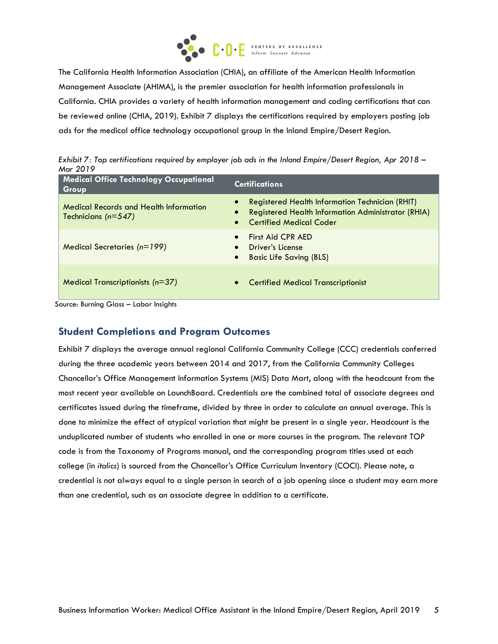

The California Health Information Association (CHIA), an affiliate of the American Health Information Management Associate (AHIMA), is the premier association for health information professionals in California. CHIA provides a variety of health information management and coding certifications that can be reviewed online (CHIA, 2019). Exhibit 7 displays the certifications required by employers posting job ads for the medical office technology occupational group in the Inland Empire/Desert Region.

*Exhibit 7: Top certifications required by employer job ads in the Inland Empire/Desert Region, Apr 2018 – Mar 2019*

| <b>Medical Office Technology Occupational</b><br>Group                   | <b>Certifications</b>                                                                                                                          |
|--------------------------------------------------------------------------|------------------------------------------------------------------------------------------------------------------------------------------------|
| <b>Medical Records and Health Information</b><br>Technicians ( $n=547$ ) | Registered Health Information Technician (RHIT)<br><b>Registered Health Information Administrator (RHIA)</b><br><b>Certified Medical Coder</b> |
| Medical Secretaries $(n=199)$                                            | First Aid CPR AED<br>Driver's License<br><b>Basic Life Saving (BLS)</b>                                                                        |
| Medical Transcriptionists $(n=37)$                                       | <b>Certified Medical Transcriptionist</b>                                                                                                      |

Source: Burning Glass – Labor Insights

# **Student Completions and Program Outcomes**

Exhibit 7 displays the average annual regional California Community College (CCC) credentials conferred during the three academic years between 2014 and 2017, from the California Community Colleges Chancellor's Office Management Information Systems (MIS) Data Mart, along with the headcount from the most recent year available on LaunchBoard. Credentials are the combined total of associate degrees and certificates issued during the timeframe, divided by three in order to calculate an annual average. This is done to minimize the effect of atypical variation that might be present in a single year. Headcount is the unduplicated number of students who enrolled in one or more courses in the program. The relevant TOP code is from the Taxonomy of Programs manual, and the corresponding program titles used at each college (in *italics*) is sourced from the Chancellor's Office Curriculum Inventory (COCI). Please note, a credential is not always equal to a single person in search of a job opening since a student may earn more than one credential, such as an associate degree in addition to a certificate.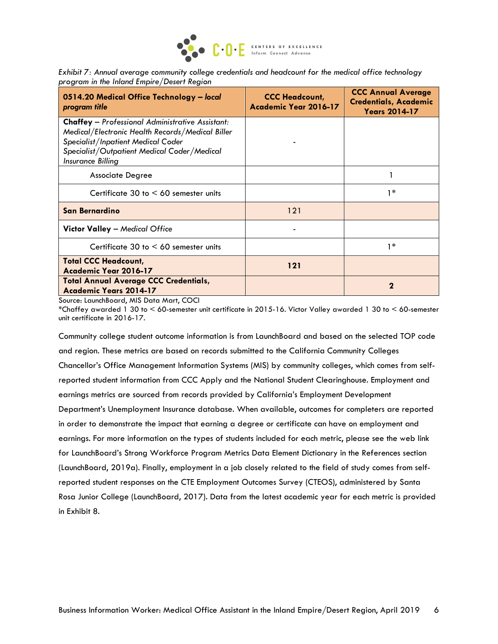

*Exhibit 7: Annual average community college credentials and headcount for the medical office technology program in the Inland Empire/Desert Region*

| 0514.20 Medical Office Technology - local<br>program title                                                                                                                                                                   | <b>CCC Headcount,</b><br>Academic Year 2016-17 | <b>CCC Annual Average</b><br><b>Credentials, Academic</b><br><b>Years 2014-17</b> |
|------------------------------------------------------------------------------------------------------------------------------------------------------------------------------------------------------------------------------|------------------------------------------------|-----------------------------------------------------------------------------------|
| <b>Chaffey</b> - Professional Administrative Assistant:<br>Medical/Electronic Health Records/Medical Biller<br><b>Specialist/Inpatient Medical Coder</b><br>Specialist/Outpatient Medical Coder/Medical<br>Insurance Billing |                                                |                                                                                   |
| Associate Degree                                                                                                                                                                                                             |                                                |                                                                                   |
| Certificate 30 to $< 60$ semester units                                                                                                                                                                                      |                                                | $1*$                                                                              |
| San Bernardino                                                                                                                                                                                                               | 121                                            |                                                                                   |
| Victor Valley - Medical Office                                                                                                                                                                                               |                                                |                                                                                   |
| Certificate 30 to $< 60$ semester units                                                                                                                                                                                      |                                                | $1*$                                                                              |
| <b>Total CCC Headcount,</b><br>Academic Year 2016-17                                                                                                                                                                         | 121                                            |                                                                                   |
| <b>Total Annual Average CCC Credentials,</b><br>Academic Years 2014-17                                                                                                                                                       |                                                | 2                                                                                 |

Source: LaunchBoard, MIS Data Mart, COCI

\*Chaffey awarded 1 30 to < 60-semester unit certificate in 2015-16. Victor Valley awarded 1 30 to < 60-semester unit certificate in 2016-17.

Community college student outcome information is from LaunchBoard and based on the selected TOP code and region. These metrics are based on records submitted to the California Community Colleges Chancellor's Office Management Information Systems (MIS) by community colleges, which comes from selfreported student information from CCC Apply and the National Student Clearinghouse. Employment and earnings metrics are sourced from records provided by California's Employment Development Department's Unemployment Insurance database. When available, outcomes for completers are reported in order to demonstrate the impact that earning a degree or certificate can have on employment and earnings. For more information on the types of students included for each metric, please see the web link for LaunchBoard's Strong Workforce Program Metrics Data Element Dictionary in the References section (LaunchBoard, 2019a). Finally, employment in a job closely related to the field of study comes from selfreported student responses on the CTE Employment Outcomes Survey (CTEOS), administered by Santa Rosa Junior College (LaunchBoard, 2017). Data from the latest academic year for each metric is provided in Exhibit 8.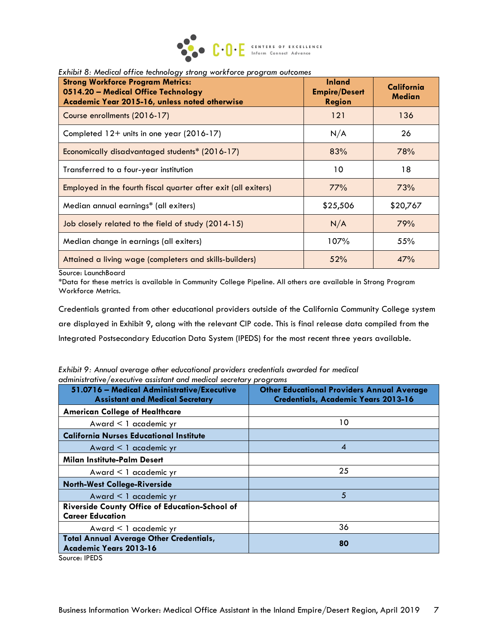

#### *Exhibit 8: Medical office technology strong workforce program outcomes*

| <b>Strong Workforce Program Metrics:</b><br>0514.20 - Medical Office Technology<br>Academic Year 2015-16, unless noted otherwise | <b>Inland</b><br><b>Empire/Desert</b><br><b>Region</b> | <b>California</b><br><b>Median</b> |
|----------------------------------------------------------------------------------------------------------------------------------|--------------------------------------------------------|------------------------------------|
| Course enrollments (2016-17)                                                                                                     | 121                                                    | 136                                |
| Completed $12+$ units in one year (2016-17)                                                                                      | N/A                                                    | 26                                 |
| Economically disadvantaged students* (2016-17)                                                                                   | 83%                                                    | 78%                                |
| Transferred to a four-year institution                                                                                           | 10                                                     | 18                                 |
| Employed in the fourth fiscal quarter after exit (all exiters)                                                                   | 77%                                                    | 73%                                |
| Median annual earnings* (all exiters)                                                                                            | \$25,506                                               | \$20,767                           |
| Job closely related to the field of study (2014-15)                                                                              | N/A                                                    | 79%                                |
| Median change in earnings (all exiters)                                                                                          | 107%                                                   | 55%                                |
| Attained a living wage (completers and skills-builders)                                                                          | 52%                                                    | 47%                                |

Source: LaunchBoard

\*Data for these metrics is available in Community College Pipeline. All others are available in Strong Program Workforce Metrics.

Credentials granted from other educational providers outside of the California Community College system are displayed in Exhibit 9, along with the relevant CIP code. This is final release data compiled from the Integrated Postsecondary Education Data System (IPEDS) for the most recent three years available.

*Exhibit 9: Annual average other educational providers credentials awarded for medical administrative/executive assistant and medical secretary programs*

| 51.0716 - Medical Administrative/Executive<br><b>Assistant and Medical Secretary</b>      | <b>Other Educational Providers Annual Average</b><br><b>Credentials, Academic Years 2013-16</b> |
|-------------------------------------------------------------------------------------------|-------------------------------------------------------------------------------------------------|
| <b>American College of Healthcare</b>                                                     |                                                                                                 |
| Award < 1 academic yr                                                                     | 10                                                                                              |
| <b>California Nurses Educational Institute</b>                                            |                                                                                                 |
| Award $\leq 1$ academic yr                                                                | 4                                                                                               |
| Milan Institute-Palm Desert                                                               |                                                                                                 |
| Award < 1 academic yr                                                                     | 25                                                                                              |
| <b>North-West College-Riverside</b>                                                       |                                                                                                 |
| Award $\leq 1$ academic yr                                                                | 5                                                                                               |
| <b>Riverside County Office of Education-School of</b><br><b>Career Education</b>          |                                                                                                 |
| Award < 1 academic yr                                                                     | 36                                                                                              |
| <b>Total Annual Average Other Credentials,</b><br>Academic Years 2013-16<br>Counce INFINO | 80                                                                                              |

Source: IPEDS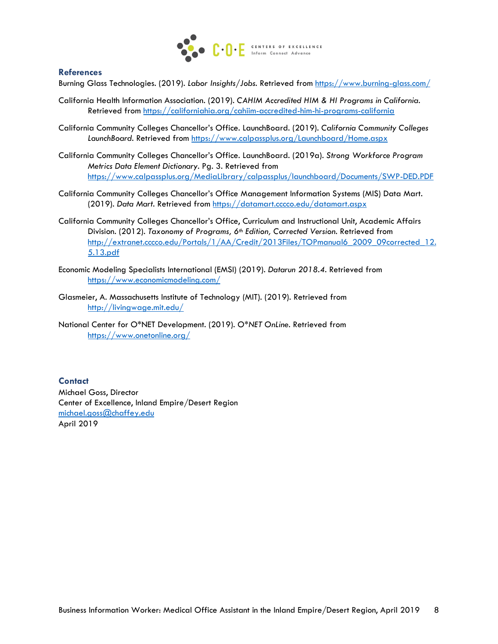

### **References**

Burning Glass Technologies. (2019). *Labor Insights/Jobs.* Retrieved from<https://www.burning-glass.com/>

- California Health Information Association. (2019). *CAHIM Accredited HIM & HI Programs in California*. Retrieved from<https://californiahia.org/cahiim-accredited-him-hi-programs-california>
- California Community Colleges Chancellor's Office. LaunchBoard. (2019). *California Community Colleges LaunchBoard.* Retrieved from<https://www.calpassplus.org/Launchboard/Home.aspx>
- California Community Colleges Chancellor's Office. LaunchBoard. (2019a). *Strong Workforce Program Metrics Data Element Dictionary.* Pg. 3. Retrieved from <https://www.calpassplus.org/MediaLibrary/calpassplus/launchboard/Documents/SWP-DED.PDF>
- California Community Colleges Chancellor's Office Management Information Systems (MIS) Data Mart. (2019). *Data Mart.* Retrieved from<https://datamart.cccco.edu/datamart.aspx>
- California Community Colleges Chancellor's Office, Curriculum and Instructional Unit, Academic Affairs Division. (2012). *Taxonomy of Programs, 6th Edition, Corrected Version.* Retrieved from [http://extranet.cccco.edu/Portals/1/AA/Credit/2013Files/TOPmanual6\\_2009\\_09corrected\\_12.](http://extranet.cccco.edu/Portals/1/AA/Credit/2013Files/TOPmanual6_2009_09corrected_12.5.13.pdf) [5.13.pdf](http://extranet.cccco.edu/Portals/1/AA/Credit/2013Files/TOPmanual6_2009_09corrected_12.5.13.pdf)
- Economic Modeling Specialists International (EMSI) (2019). *Datarun 2018.4.* Retrieved from <https://www.economicmodeling.com/>
- Glasmeier, A. Massachusetts Institute of Technology (MIT). (2019). Retrieved from <http://livingwage.mit.edu/>
- National Center for O\*NET Development. (2019). *O\*NET OnLine.* Retrieved from <https://www.onetonline.org/>

### **Contact**

Michael Goss, Director Center of Excellence, Inland Empire/Desert Region [michael.goss@chaffey.edu](mailto:michael.goss@chaffey.edu) April 2019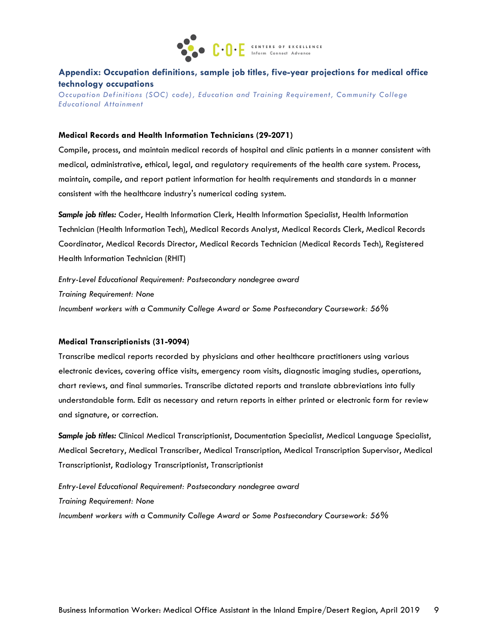

### **Appendix: Occupation definitions, sample job titles, five-year projections for medical office technology occupations**

*Occupation Definitions (SOC) code), Education and Training Requirement, Community College Educational Attainment*

#### **Medical Records and Health Information Technicians (29-2071)**

Compile, process, and maintain medical records of hospital and clinic patients in a manner consistent with medical, administrative, ethical, legal, and regulatory requirements of the health care system. Process, maintain, compile, and report patient information for health requirements and standards in a manner consistent with the healthcare industry's numerical coding system.

*Sample job titles:* Coder, Health Information Clerk, Health Information Specialist, Health Information Technician (Health Information Tech), Medical Records Analyst, Medical Records Clerk, Medical Records Coordinator, Medical Records Director, Medical Records Technician (Medical Records Tech), Registered Health Information Technician (RHIT)

*Entry-Level Educational Requirement: Postsecondary nondegree award Training Requirement: None Incumbent workers with a Community College Award or Some Postsecondary Coursework: 56%*

#### **Medical Transcriptionists (31-9094)**

Transcribe medical reports recorded by physicians and other healthcare practitioners using various electronic devices, covering office visits, emergency room visits, diagnostic imaging studies, operations, chart reviews, and final summaries. Transcribe dictated reports and translate abbreviations into fully understandable form. Edit as necessary and return reports in either printed or electronic form for review and signature, or correction.

*Sample job titles:* Clinical Medical Transcriptionist, Documentation Specialist, Medical Language Specialist, Medical Secretary, Medical Transcriber, Medical Transcription, Medical Transcription Supervisor, Medical Transcriptionist, Radiology Transcriptionist, Transcriptionist

*Entry-Level Educational Requirement: Postsecondary nondegree award Training Requirement: None Incumbent workers with a Community College Award or Some Postsecondary Coursework: 56%*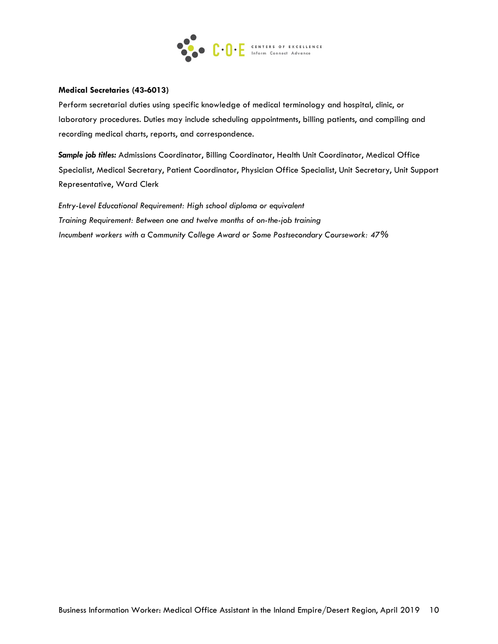

#### **Medical Secretaries (43-6013)**

Perform secretarial duties using specific knowledge of medical terminology and hospital, clinic, or laboratory procedures. Duties may include scheduling appointments, billing patients, and compiling and recording medical charts, reports, and correspondence.

*Sample job titles:* Admissions Coordinator, Billing Coordinator, Health Unit Coordinator, Medical Office Specialist, Medical Secretary, Patient Coordinator, Physician Office Specialist, Unit Secretary, Unit Support Representative, Ward Clerk

*Entry-Level Educational Requirement: High school diploma or equivalent Training Requirement: Between one and twelve months of on-the-job training Incumbent workers with a Community College Award or Some Postsecondary Coursework: 47%*